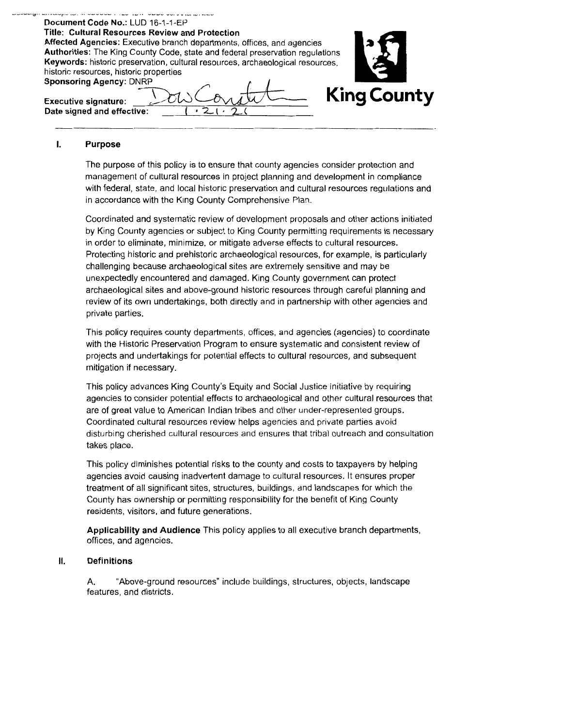#### Document Code No.: LUD 16-1-1-EP Title: Cultural Resources Review and Protection Affected Agencies: Executive branch departments, offices, and agencies Authorities: The King County Code, state and federal preservation regulations Keywords: historic preservation, cultural resources, archaeological resources, historic resources, historic properties **Sponsoring Agency: DNRP King County Executive signature:** Date signed and effective:

#### I. Purpose

The purpose of this policy is to ensure that county agencies consider protection and management of cultural resources in project planning and development in compliance with federal, state, and local historic preservation and cultural resources regulations and in accordance with the King County Comprehensive Plan.

Coordinated and systematic review of development proposals and other actions initiated by King County agencies or subject to King County permitting requirements is necessary in order to eliminate, minimize, or mitigate adverse effects to cultural resources. Protecting historic and prehistoric archaeological resources, for example, is particularly challenging because archaeological sites are extremely sensitive and may be unexpectedly encountered and damaged. King County government can protect archaeological sites and above-ground historic resources through careful planning and review of its own undertakings, both directly and in partnership with other agencies and private parties.

This policy requires county departments, offices, and agencies (agencies) to coordinate with the Historic Preservation Program to ensure systematic and consistent review of projects and undertakings for potential effects to cultural resources, and subsequent mitigation if necessary.

This policy advances King County's Equity and Social Justice initiative by requiring agencies to consider potential effects to archaeological and other cultural resources that are of great value to American Indian tribes and other under-represented groups. Coordinated cultural resources review helps agencies and private parties avoid disturbing cherished cultural resources and ensures that tribal outreach and consultation takes place.

This policy diminishes potential risks to the county and costs to taxpayers by helping agencies avoid causing inadvertent damage to cultural resources. It ensures proper treatment of all significant sites, structures, buildings, and landscapes for which the County has ownership or permitting responsibility for the benefit of King County residents, visitors, and future generations.

Applicability and Audience This policy applies to all executive branch departments, offices, and agencies.

#### Ⅱ. **Definitions**

"Above-ground resources" include buildings, structures, objects, landscape A. features, and districts.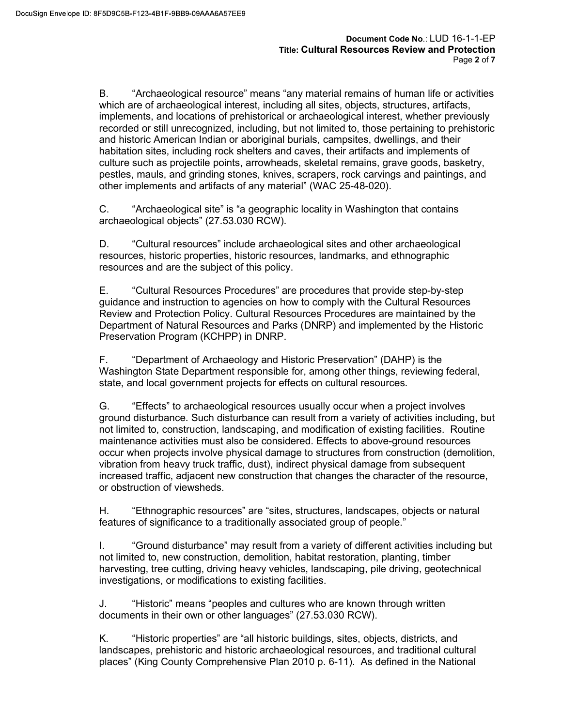B. "Archaeological resource" means "any material remains of human life or activities which are of archaeological interest, including all sites, objects, structures, artifacts, implements, and locations of prehistorical or archaeological interest, whether previously recorded or still unrecognized, including, but not limited to, those pertaining to prehistoric and historic American Indian or aboriginal burials, campsites, dwellings, and their habitation sites, including rock shelters and caves, their artifacts and implements of culture such as projectile points, arrowheads, skeletal remains, grave goods, basketry, pestles, mauls, and grinding stones, knives, scrapers, rock carvings and paintings, and other implements and artifacts of any material" (WAC 25-48-020).

C. "Archaeological site" is "a geographic locality in Washington that contains archaeological objects" (27.53.030 RCW).

D. "Cultural resources" include archaeological sites and other archaeological resources, historic properties, historic resources, landmarks, and ethnographic resources and are the subject of this policy.

 E. "Cultural Resources Procedures" are procedures that provide step-by-step guidance and instruction to agencies on how to comply with the Cultural Resources Review and Protection Policy. Cultural Resources Procedures are maintained by the Department of Natural Resources and Parks (DNRP) and implemented by the Historic Preservation Program (KCHPP) in DNRP.

F. "Department of Archaeology and Historic Preservation" (DAHP) is the Washington State Department responsible for, among other things, reviewing federal, state, and local government projects for effects on cultural resources.

G. "Effects" to archaeological resources usually occur when a project involves ground disturbance. Such disturbance can result from a variety of activities including, but not limited to, construction, landscaping, and modification of existing facilities. Routine maintenance activities must also be considered. Effects to above-ground resources occur when projects involve physical damage to structures from construction (demolition, vibration from heavy truck traffic, dust), indirect physical damage from subsequent increased traffic, adjacent new construction that changes the character of the resource, or obstruction of viewsheds.

 H. "Ethnographic resources" are "sites, structures, landscapes, objects or natural features of significance to a traditionally associated group of people."

I. "Ground disturbance" may result from a variety of different activities including but not limited to, new construction, demolition, habitat restoration, planting, timber harvesting, tree cutting, driving heavy vehicles, landscaping, pile driving, geotechnical investigations, or modifications to existing facilities.

J. "Historic" means "peoples and cultures who are known through written documents in their own or other languages" (27.53.030 RCW).

K. "Historic properties" are "all historic buildings, sites, objects, districts, and landscapes, prehistoric and historic archaeological resources, and traditional cultural places" (King County Comprehensive Plan 2010 p. 6-11). As defined in the National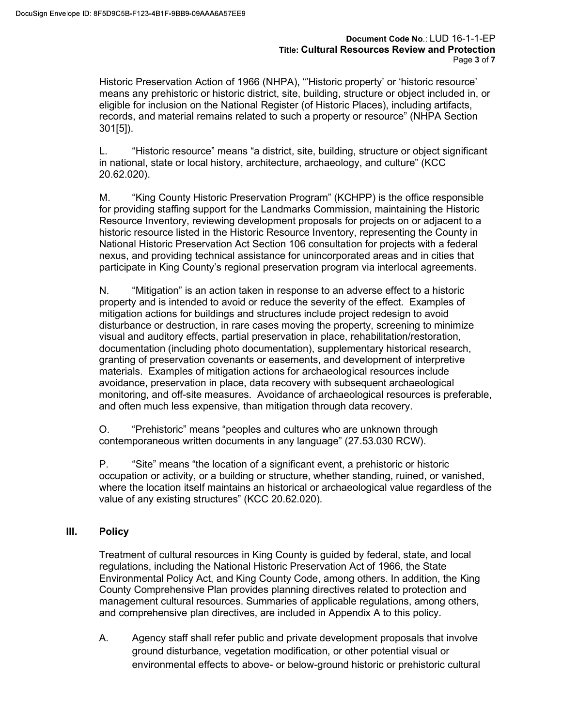Document Code No.: LUD 16-1-1-EP<br>Title: Cultural Resources Review and Protection<br>Page 3 of 7<br>IPA), "'Historic property' or 'historic resource'<br>site, building, structure or object included in, or<br>ister (of Historic Places), Historic Preservation Action of 1966 (NHPA), "'Historic property' or 'historic resource' means any prehistoric or historic district, site, building, structure or object included in, or eligible for inclusion on the National Register (of Historic Places), including artifacts, records, and material remains related to such a property or resource" (NHPA Section 301[5]).

L. "Historic resource" means "a district, site, building, structure or object significant in national, state or local history, architecture, archaeology, and culture" (KCC 20.62.020).

M. "King County Historic Preservation Program" (KCHPP) is the office responsible for providing staffing support for the Landmarks Commission, maintaining the Historic Resource Inventory, reviewing development proposals for projects on or adjacent to a historic resource listed in the Historic Resource Inventory, representing the County in National Historic Preservation Act Section 106 consultation for projects with a federal nexus, and providing technical assistance for unincorporated areas and in cities that participate in King County's regional preservation program via interlocal agreements.

N. "Mitigation" is an action taken in response to an adverse effect to a historic property and is intended to avoid or reduce the severity of the effect. Examples of mitigation actions for buildings and structures include project redesign to avoid disturbance or destruction, in rare cases moving the property, screening to minimize visual and auditory effects, partial preservation in place, rehabilitation/restoration, documentation (including photo documentation), supplementary historical research, granting of preservation covenants or easements, and development of interpretive materials. Examples of mitigation actions for archaeological resources include avoidance, preservation in place, data recovery with subsequent archaeological monitoring, and off-site measures. Avoidance of archaeological resources is preferable, and often much less expensive, than mitigation through data recovery.

O. "Prehistoric" means "peoples and cultures who are unknown through contemporaneous written documents in any language" (27.53.030 RCW).

P. "Site" means "the location of a significant event, a prehistoric or historic occupation or activity, or a building or structure, whether standing, ruined, or vanished, where the location itself maintains an historical or archaeological value regardless of the value of any existing structures" (KCC 20.62.020).

# III. Policy

Treatment of cultural resources in King County is guided by federal, state, and local regulations, including the National Historic Preservation Act of 1966, the State Environmental Policy Act, and King County Code, among others. In addition, the King County Comprehensive Plan provides planning directives related to protection and management cultural resources. Summaries of applicable regulations, among others, and comprehensive plan directives, are included in Appendix A to this policy.

A. Agency staff shall refer public and private development proposals that involve ground disturbance, vegetation modification, or other potential visual or environmental effects to above- or below-ground historic or prehistoric cultural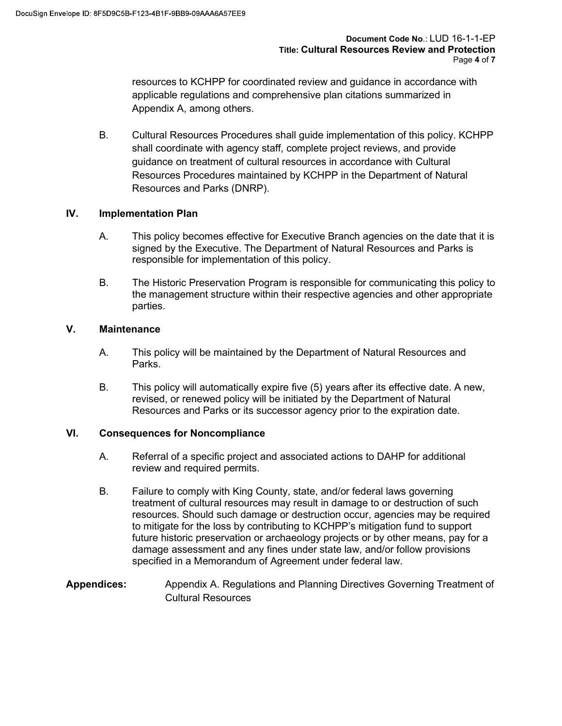Document Code No.: LUD 16-1-1-EP<br>Title: Cultural Resources Review and Protection<br>Page 4 of 7<br>ated review and guidance in accordance with<br>rehensive plan citations summarized in resources to KCHPP for coordinated review and guidance in accordance with applicable regulations and comprehensive plan citations summarized in Appendix A, among others.

B. Cultural Resources Procedures shall guide implementation of this policy. KCHPP shall coordinate with agency staff, complete project reviews, and provide guidance on treatment of cultural resources in accordance with Cultural Resources Procedures maintained by KCHPP in the Department of Natural Resources and Parks (DNRP).

## IV. Implementation Plan

- A. This policy becomes effective for Executive Branch agencies on the date that it is signed by the Executive. The Department of Natural Resources and Parks is responsible for implementation of this policy.
- B. The Historic Preservation Program is responsible for communicating this policy to the management structure within their respective agencies and other appropriate parties.

## V. Maintenance

- A. This policy will be maintained by the Department of Natural Resources and Parks.
- B. This policy will automatically expire five (5) years after its effective date. A new, revised, or renewed policy will be initiated by the Department of Natural Resources and Parks or its successor agency prior to the expiration date.

## VI. Consequences for Noncompliance

- A. Referral of a specific project and associated actions to DAHP for additional review and required permits.
- B. Failure to comply with King County, state, and/or federal laws governing treatment of cultural resources may result in damage to or destruction of such resources. Should such damage or destruction occur, agencies may be required to mitigate for the loss by contributing to KCHPP's mitigation fund to support future historic preservation or archaeology projects or by other means, pay for a damage assessment and any fines under state law, and/or follow provisions specified in a Memorandum of Agreement under federal law.
- Appendices: Appendix A. Regulations and Planning Directives Governing Treatment of Cultural Resources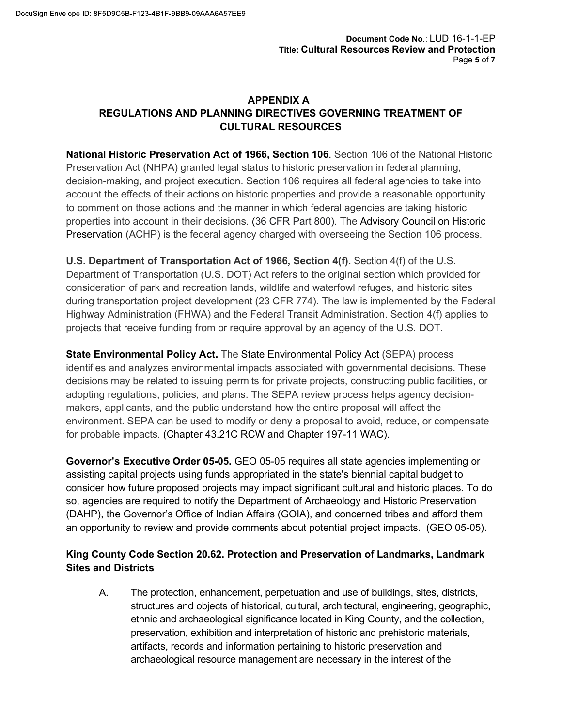# APPENDIX A REGULATIONS AND PLANNING DIRECTIVES GOVERNING TREATMENT OF CULTURAL RESOURCES

National Historic Preservation Act of 1966, Section 106. Section 106 of the National Historic Preservation Act of 1966, Section 106. Section 106. IUD 16-1-1-EP<br>
Preservation Act (NHPA) granted legal status to historic preservation Act (NHPA) granted legal status to historic preservation in federal planning,<br>
ReGULA decision-making, and project execution. Section 106 requires all federal agencies to take into account the effects of their actions on historic properties and provide a reasonable opportunity to comment on those actions and the manner in which federal agencies are taking historic properties into account in their decisions. (36 CFR Part 800). The Advisory Council on Historic Preservation (ACHP) is the federal agency charged with overseeing the Section 106 process.

U.S. Department of Transportation Act of 1966, Section 4(f). Section 4(f) of the U.S. Department of Transportation (U.S. DOT) Act refers to the original section which provided for consideration of park and recreation lands, wildlife and waterfowl refuges, and historic sites during transportation project development (23 CFR 774). The law is implemented by the Federal Highway Administration (FHWA) and the Federal Transit Administration. Section 4(f) applies to projects that receive funding from or require approval by an agency of the U.S. DOT.

State Environmental Policy Act. The State Environmental Policy Act (SEPA) process identifies and analyzes environmental impacts associated with governmental decisions. These decisions may be related to issuing permits for private projects, constructing public facilities, or adopting regulations, policies, and plans. The SEPA review process helps agency decisionmakers, applicants, and the public understand how the entire proposal will affect the environment. SEPA can be used to modify or deny a proposal to avoid, reduce, or compensate for probable impacts. (Chapter 43.21C RCW and Chapter 197-11 WAC).

Governor's Executive Order 05-05. GEO 05-05 requires all state agencies implementing or assisting capital projects using funds appropriated in the state's biennial capital budget to consider how future proposed projects may impact significant cultural and historic places. To do so, agencies are required to notify the Department of Archaeology and Historic Preservation (DAHP), the Governor's Office of Indian Affairs (GOIA), and concerned tribes and afford them an opportunity to review and provide comments about potential project impacts. (GEO 05-05).

# King County Code Section 20.62. Protection and Preservation of Landmarks, Landmark Sites and Districts

A. The protection, enhancement, perpetuation and use of buildings, sites, districts, structures and objects of historical, cultural, architectural, engineering, geographic, ethnic and archaeological significance located in King County, and the collection, preservation, exhibition and interpretation of historic and prehistoric materials, artifacts, records and information pertaining to historic preservation and archaeological resource management are necessary in the interest of the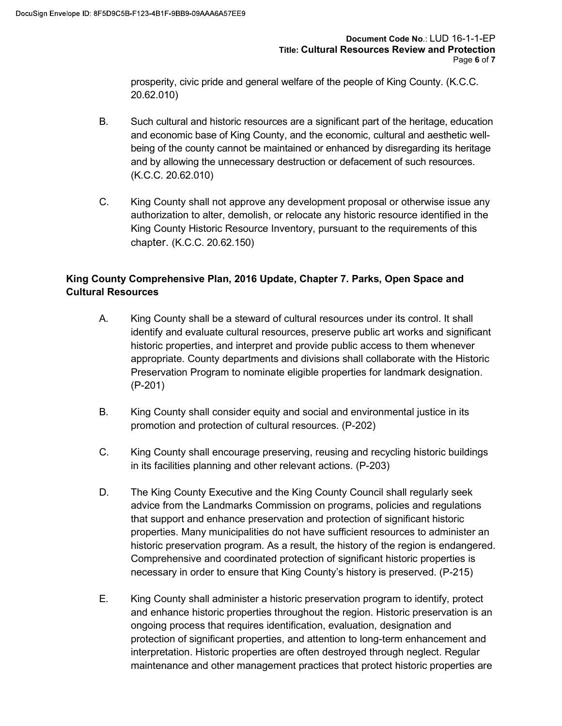prosperity, civic pride and general welfare of the people of King County. (K.C.C. 20.62.010)

- B. Such cultural and historic resources are a significant part of the heritage, education and economic base of King County, and the economic, cultural and aesthetic wellbeing of the county cannot be maintained or enhanced by disregarding its heritage and by allowing the unnecessary destruction or defacement of such resources. (K.C.C. 20.62.010)
- C. King County shall not approve any development proposal or otherwise issue any authorization to alter, demolish, or relocate any historic resource identified in the King County Historic Resource Inventory, pursuant to the requirements of this chapter. (K.C.C. 20.62.150)

# King County Comprehensive Plan, 2016 Update, Chapter 7. Parks, Open Space and Cultural Resources

- A. King County shall be a steward of cultural resources under its control. It shall identify and evaluate cultural resources, preserve public art works and significant historic properties, and interpret and provide public access to them whenever appropriate. County departments and divisions shall collaborate with the Historic Preservation Program to nominate eligible properties for landmark designation. (P-201)
- B. King County shall consider equity and social and environmental justice in its promotion and protection of cultural resources. (P-202)
- C. King County shall encourage preserving, reusing and recycling historic buildings in its facilities planning and other relevant actions. (P-203)
- D. The King County Executive and the King County Council shall regularly seek advice from the Landmarks Commission on programs, policies and regulations that support and enhance preservation and protection of significant historic properties. Many municipalities do not have sufficient resources to administer an historic preservation program. As a result, the history of the region is endangered. Comprehensive and coordinated protection of significant historic properties is necessary in order to ensure that King County's history is preserved. (P-215)
- E. King County shall administer a historic preservation program to identify, protect and enhance historic properties throughout the region. Historic preservation is an ongoing process that requires identification, evaluation, designation and protection of significant properties, and attention to long-term enhancement and interpretation. Historic properties are often destroyed through neglect. Regular maintenance and other management practices that protect historic properties are